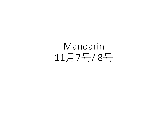# Mandarin 11月7号/ 8号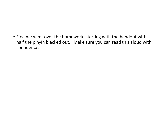• First we went over the homework, starting with the handout with half the pinyin blacked out. Make sure you can read this aloud with confidence.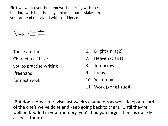First we went over the homework, starting with the handout with half the pinyin blacked out. Make sure you can read this aloud with confidence.



These are the Characters I'd like you to practise writing 'freehand' for next week.

- 6. Bright (ming2)
- 7. Heaven (tian1)
- 8. Tomorrow
- 9. today
- 10. Yesterday
- 11. Work (gong1 zuo4)

(But don't forget to revise last week's characters as well. Keep a record of the one's we've done and keep going back to them. Until they're well embedded in your memory, you'll find you forget them as quickly as learn them).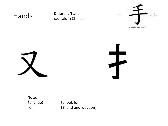Hands Different 'hand' radicals in Chinese







Note: 找 (zhǎo) to look for

我 Thand and weapon)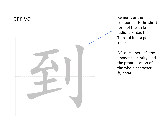

component is the short form of the knife radical: 刀 dao1 Think of it as a pen knife.

Of course here it's the phonetic – hinting and the pronunciation of the whole character: 到 dao4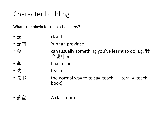## Character building!

What's the pinyin for these characters?

| $\bullet$ |  | cloud |
|-----------|--|-------|
|           |  |       |

- 云南  $\qquad \qquad$  Yunnan province
- 会 can (usually something you've learnt to do) Eg: 我 会说中文
- •孝 filial respect
- 教 teach
- 教书 **the normal way to to say 'teach'** literally 'teach book)
- 教室 A classroom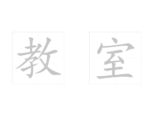

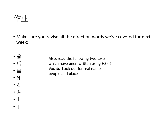作业

• Make sure you revise all the direction words we've covered for next week:

• 前 • 后 • 里 Also, read the following two texts, which have been written using HSK 2 Vocab. Look out for real names of

people and places.

- 外
- 右 • 左
- 上
- 下